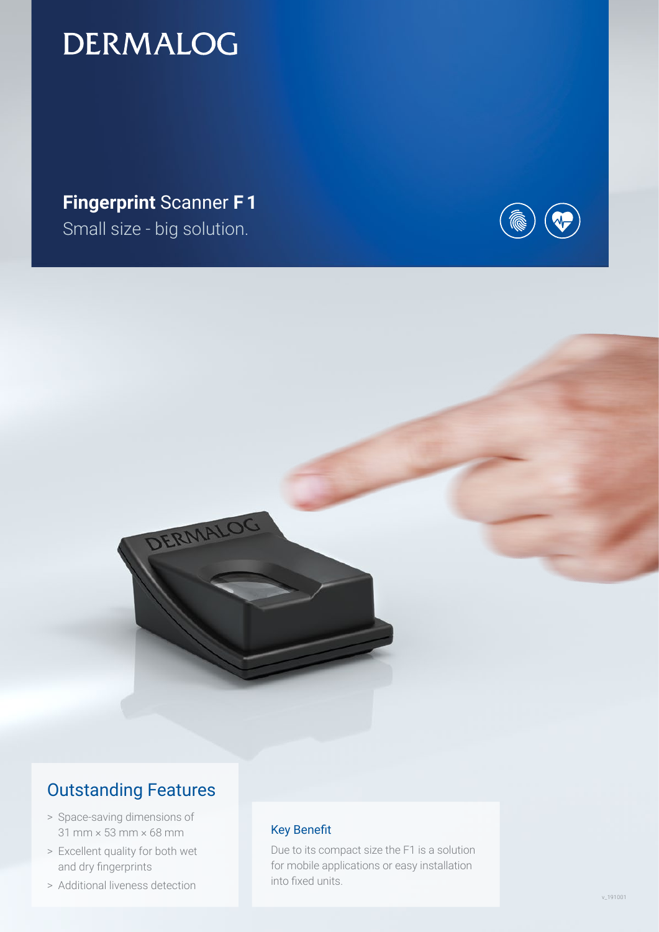## **DERMALOG**

**Fingerprint** Scanner **F 1** Small size - big solution.





### Outstanding Features

- > Space-saving dimensions of 31 mm × 53 mm × 68 mm
- > Excellent quality for both wet and dry fingerprints
- > Additional liveness detection

#### Key Benefit

Due to its compact size the F1 is a solution for mobile applications or easy installation into fixed units.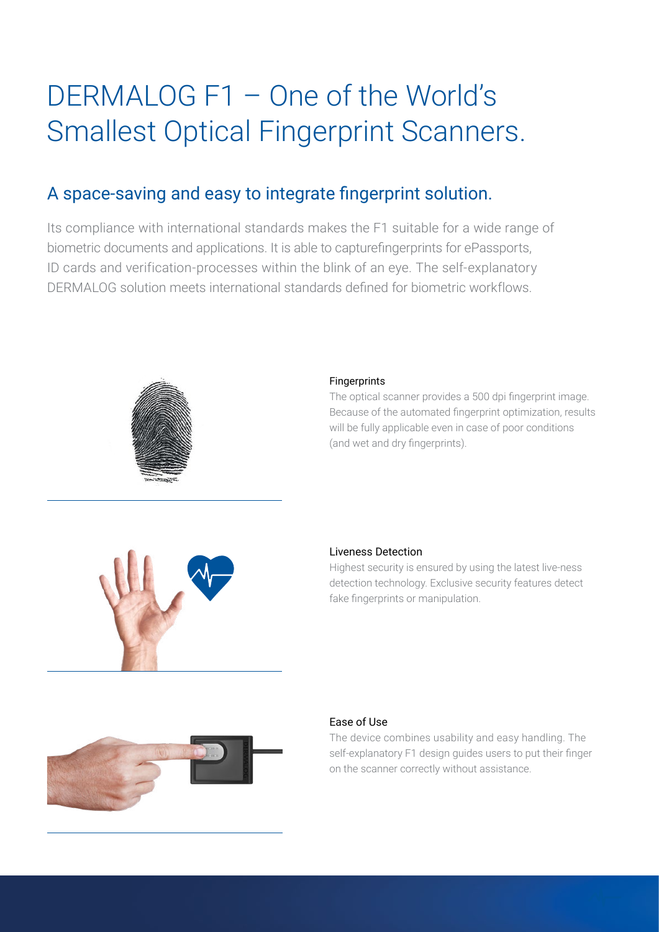# DERMALOG F1 – One of the World's Smallest Optical Fingerprint Scanners.

## A space-saving and easy to integrate fingerprint solution.

Its compliance with international standards makes the F1 suitable for a wide range of biometric documents and applications. It is able to capturefingerprints for ePassports, ID cards and verification-processes within the blink of an eye. The self-explanatory DERMALOG solution meets international standards defined for biometric workflows.



#### Fingerprints

The optical scanner provides a 500 dpi fingerprint image. Because of the automated fingerprint optimization, results will be fully applicable even in case of poor conditions (and wet and dry fingerprints).



#### Liveness Detection

Highest security is ensured by using the latest live-ness detection technology. Exclusive security features detect fake fingerprints or manipulation.



#### Ease of Use

The device combines usability and easy handling. The self-explanatory F1 design guides users to put their finger on the scanner correctly without assistance.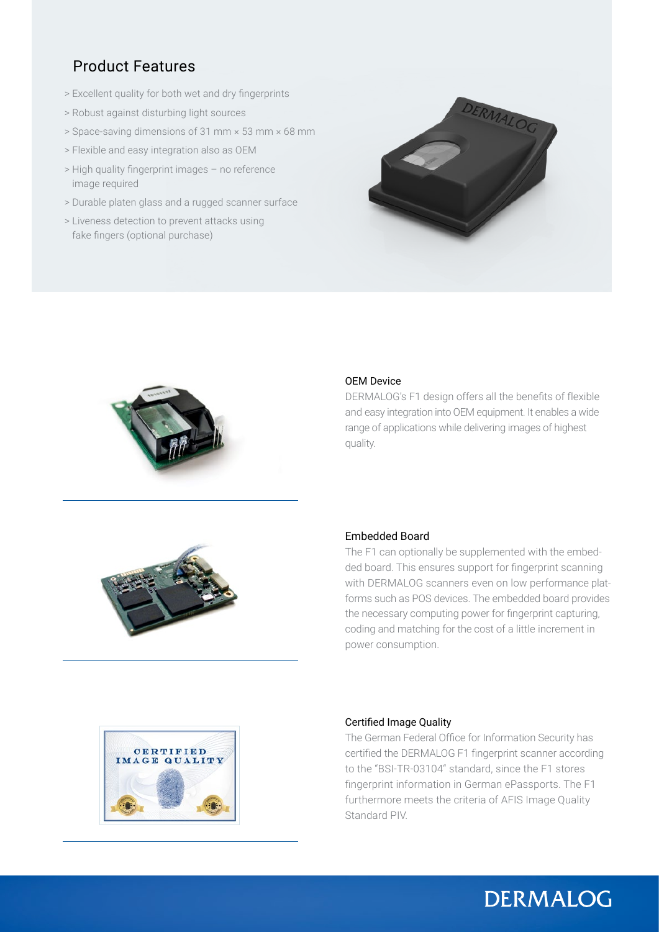### Product Features

- > Excellent quality for both wet and dry fingerprints
- > Robust against disturbing light sources
- > Space-saving dimensions of 31 mm × 53 mm × 68 mm
- > Flexible and easy integration also as OEM
- > High quality fingerprint images no reference image required
- > Durable platen glass and a rugged scanner surface
- > Liveness detection to prevent attacks using fake fingers (optional purchase)





#### OEM Device

DERMALOG's F1 design offers all the benefits of flexible and easy integration into OEM equipment. It enables a wide range of applications while delivering images of highest quality.



#### Embedded Board

The F1 can optionally be supplemented with the embedded board. This ensures support for fingerprint scanning with DERMALOG scanners even on low performance platforms such as POS devices. The embedded board provides the necessary computing power for fingerprint capturing, coding and matching for the cost of a little increment in power consumption.



#### Certified Image Quality

The German Federal Office for Information Security has certified the DERMALOG F1 fingerprint scanner according to the "BSI-TR-03104" standard, since the F1 stores fingerprint information in German ePassports. The F1 furthermore meets the criteria of AFIS Image Quality Standard PIV.